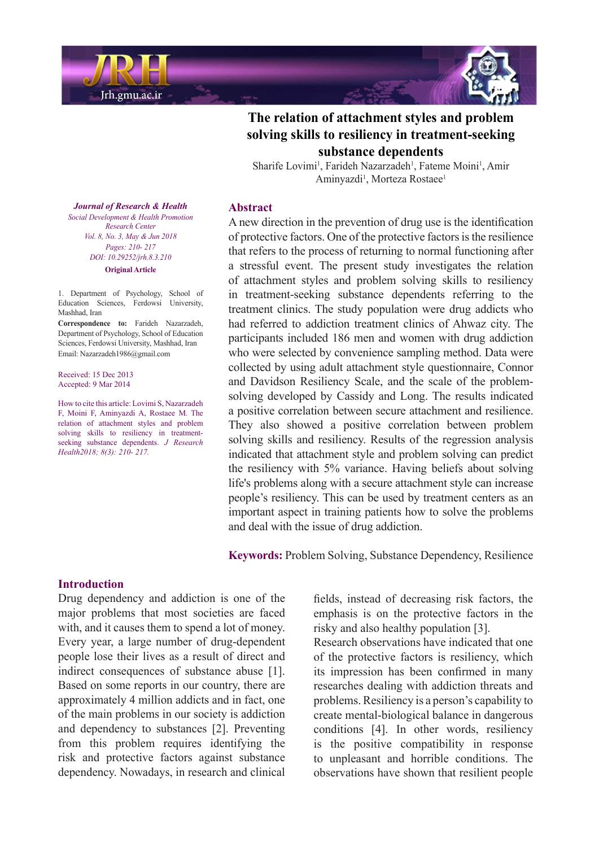



Sharife Lovimi<sup>1</sup>, Farideh Nazarzadeh<sup>1</sup>, Fateme Moini<sup>1</sup>, Amir Aminyazdi<sup>1</sup>, Morteza Rostaee<sup>1</sup>

#### **Abstract**

A new direction in the prevention of drug use is the identification of protective factors. One of the protective factors is the resilience that refers to the process of returning to normal functioning after a stressful event. The present study investigates the relation of attachment styles and problem solving skills to resiliency in treatment-seeking substance dependents referring to the treatment clinics. The study population were drug addicts who had referred to addiction treatment clinics of Ahwaz city. The participants included 186 men and women with drug addiction who were selected by convenience sampling method. Data were collected by using adult attachment style questionnaire, Connor solving developed by Cassidy and Long. The results indicated and Davidson Resiliency Scale, and the scale of the problema positive correlation between secure attachment and resilience. They also showed a positive correlation between problem solving skills and resiliency. Results of the regression analysis indicated that attachment style and problem solving can predict the resiliency with 5% variance. Having beliefs about solving life's problems along with a secure attachment style can increase people's resiliency. This can be used by treatment centers as an important aspect in training patients how to solve the problems and deal with the issue of drug addiction.

**Keywords:** Problem Solving, Substance Dependency, Resilience

*Journal of Research & Health Promotion Health & Development Social Center Research Vol. 8, No. 3, May & Jun 2018 Pages*: 210- 217 *DOI*: 10.29252/jrh.8.3.210 **Original** Article

1. Department of Psychology. School of Education Sciences, Ferdowsi University, Mashhad, Iran

Correspondence to: Farideh Nazarzadeh, Department of Psychology, School of Education Sciences, Ferdowsi University, Mashhad, Iran Email: Nazarzadeh 1986@gmail.com

Received: 15 Dec 2013 Accepted: 9 Mar 2014

How to cite this article: Lovimi S, Nazarzadeh F, Moini F, Aminyazdi A, Rostaee M. The relation of attachment styles and problem seeking substance dependents. *J Research* solving skills to resiliency in treatment-*Health2018*; 8(3): 210- 217.

### **Introduction**

Drug dependency and addiction is one of the major problems that most societies are faced with, and it causes them to spend a lot of money. Every year, a large number of drug-dependent people lose their lives as a result of direct and indirect consequences of substance abuse [1]. Based on some reports in our country, there are approximately 4 million addicts and in fact, one of the main problems in our society is addiction and dependency to substances [2]. Preventing from this problem requires identifying the risk and protective factors against substance dependency. Nowadays, in research and clinical fields, instead of decreasing risk factors, the emphasis is on the protective factors in the risky and also healthy population [3].

Research observations have indicated that one of the protective factors is resiliency, which its impression has been confirmed in many researches dealing with addiction threats and problems. Resiliency is a person's capability to create mental-biological balance in dangerous conditions [4]. In other words, resiliency is the positive compatibility in response to unpleasant and horrible conditions. The observations have shown that resilient people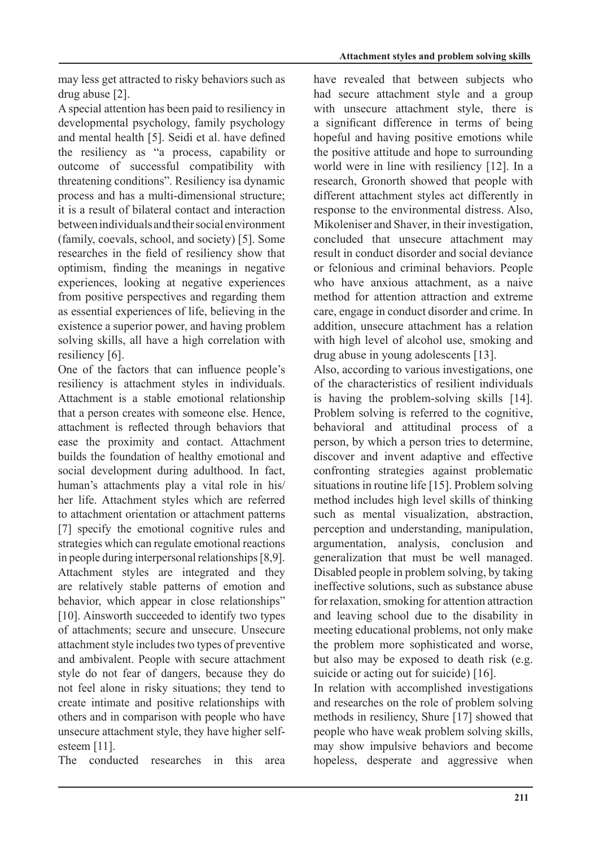may less get attracted to risky behaviors such as drug abuse  $[2]$ .

A special attention has been paid to resiliency in developmental psychology, family psychology and mental health [5]. Seidi et al. have defined the resiliency as "a process, capability or outcome of successful compatibility with threatening conditions". Resiliency isa dynamic process and has a multi-dimensional structure: it is a result of bilateral contact and interaction between individuals and their social environment  $(family, coevals, school, and society)$  [5]. Some researches in the field of resiliency show that optimism, finding the meanings in negative experiences, looking at negative experiences from positive perspectives and regarding them as essential experiences of life, believing in the existence a superior power, and having problem solving skills, all have a high correlation with resiliency [6].

One of the factors that can influence people's resiliency is attachment styles in individuals. Attachment is a stable emotional relationship that a person creates with someone else. Hence, attachment is reflected through behaviors that ease the proximity and contact. Attachment builds the foundation of healthy emotional and social development during adulthood. In fact, human's attachments play a vital role in his/ her life. Attachment styles which are referred to attachment orientation or attachment patterns  $[7]$  specify the emotional cognitive rules and strategies which can regulate emotional reactions in people during interpersonal relationships  $[8,9]$ . Attachment styles are integrated and they are relatively stable patterns of emotion and behavior, which appear in close relationships" [10]. Ainsworth succeeded to identify two types of attachments: secure and unsecure. Unsecure attachment style includes two types of preventive and ambivalent. People with secure attachment style do not fear of dangers, because they do not feel alone in risky situations; they tend to create intimate and positive relationships with others and in comparison with people who have unsecure attachment style, they have higher self-<br>esteem [11].

The conducted researches in this area

have revealed that between subjects who had secure attachment style and a group with unsecure attachment style, there is a significant difference in terms of being hopeful and having positive emotions while the positive attitude and hope to surrounding world were in line with resiliency  $[12]$ . In a research, Gronorth showed that people with different attachment styles act differently in response to the environmental distress. Also, Mikoleniser and Shaver, in their investigation, concluded that unsecure attachment may result in conduct disorder and social deviance or felonious and criminal behaviors. People who have anxious attachment, as a naive method for attention attraction and extreme care, engage in conduct disorder and crime. In addition, unsecure attachment has a relation with high level of alcohol use, smoking and  $drug$  abuse in young adolescents [13].

Also, according to various investigations, one of the characteristics of resilient individuals is having the problem-solving skills  $[14]$ . Problem solving is referred to the cognitive, behavioral and attitudinal process of a person, by which a person tries to determine, discover and invent adaptive and effective confronting strategies against problematic situations in routine life  $[15]$ . Problem solving method includes high level skills of thinking such as mental visualization, abstraction. perception and understanding, manipulation. argumentation, analysis, conclusion and generalization that must be well managed. Disabled people in problem solving, by taking ineffective solutions, such as substance abuse for relaxation smoking for attention attraction and leaving school due to the disability in meeting educational problems, not only make the problem more sophisticated and worse, but also may be exposed to death risk (e.g. suicide or acting out for suicide)  $[16]$ .

In relation with accomplished investigations and researches on the role of problem solving methods in resiliency, Shure  $[17]$  showed that people who have weak problem solving skills, may show impulsive behaviors and become hopeless, desperate and aggressive when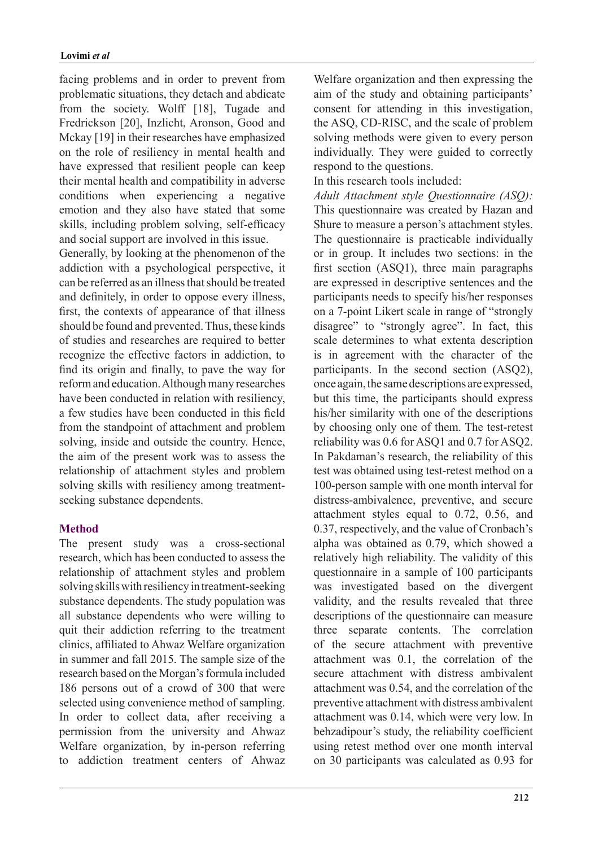facing problems and in order to prevent from problematic situations, they detach and abdicate from the society. Wolff [18], Tugade and Fredrickson [20], Inzlicht, Aronson, Good and Mckay [19] in their researches have emphasized on the role of resiliency in mental health and have expressed that resilient people can keep their mental health and compatibility in adverse conditions when experiencing a negative emotion and they also have stated that some skills, including problem solving, self-efficacy and social support are involved in this issue.

Generally, by looking at the phenomenon of the addiction with a psychological perspective, it can be referred as an illness that should be treated and definitely, in order to oppose every illness, first, the contexts of appearance of that illness should be found and prevented. Thus, these kinds of studies and researches are required to better recognize the effective factors in addiction, to find its origin and finally, to pave the way for reform and education. Although many researches have been conducted in relation with resiliency. a few studies have been conducted in this field from the standpoint of attachment and problem solving, inside and outside the country. Hence, the aim of the present work was to assess the relationship of attachment styles and problem solving skills with resiliency among treatment-<br>seeking substance dependents.

## **Method**

The present study was a cross-sectional research, which has been conducted to assess the relationship of attachment styles and problem solving skills with resiliency in treatment-seeking substance dependents. The study population was all substance dependents who were willing to quit their addiction referring to the treatment clinics, affiliated to Ahwaz Welfare organization in summer and fall 2015. The sample size of the research based on the Morgan's formula included 186 persons out of a crowd of 300 that were selected using convenience method of sampling. In order to collect data, after receiving a permission from the university and Ahwaz Welfare organization, by in-person referring to addiction treatment centers of Ahwaz Welfare organization and then expressing the aim of the study and obtaining participants' consent for attending in this investigation, the ASQ, CD-RISC, and the scale of problem solving methods were given to every person individually. They were guided to correctly respond to the questions.

In this research tools included

*Adult Attachment style Questionnaire (ASQ):* This questionnaire was created by Hazan and Shure to measure a person's attachment styles. The questionnaire is practicable individually or in group. It includes two sections: in the first section  $(ASQ1)$ , three main paragraphs are expressed in descriptive sentences and the participants needs to specify his/her responses on a 7-point Likert scale in range of "strongly" disagree" to "strongly agree". In fact, this scale determines to what extenta description is in agreement with the character of the participants. In the second section  $(ASO2)$ , once again, the same descriptions are expressed, but this time, the participants should express his/her similarity with one of the descriptions by choosing only one of them. The test-retest reliability was 0.6 for ASQ1 and 0.7 for ASQ2. In Pakdaman's research, the reliability of this test was obtained using test-retest method on a 100-person sample with one month interval for distress-ambivalence, preventive, and secure attachment styles equal to  $0.72$ ,  $0.56$ , and 0.37, respectively, and the value of Cronbach's alpha was obtained as  $0.79$ , which showed a relatively high reliability. The validity of this questionnaire in a sample of 100 participants was investigated based on the divergent validity, and the results revealed that three descriptions of the questionnaire can measure three separate contents. The correlation of the secure attachment with preventive attachment was  $0.1$ , the correlation of the secure attachment with distress ambivalent attachment was  $0.54$ , and the correlation of the preventive attachment with distress ambivalent attachment was 0.14, which were very low. In behzadipour's study, the reliability coefficient using retest method over one month interval on 30 participants was calculated as 0.93 for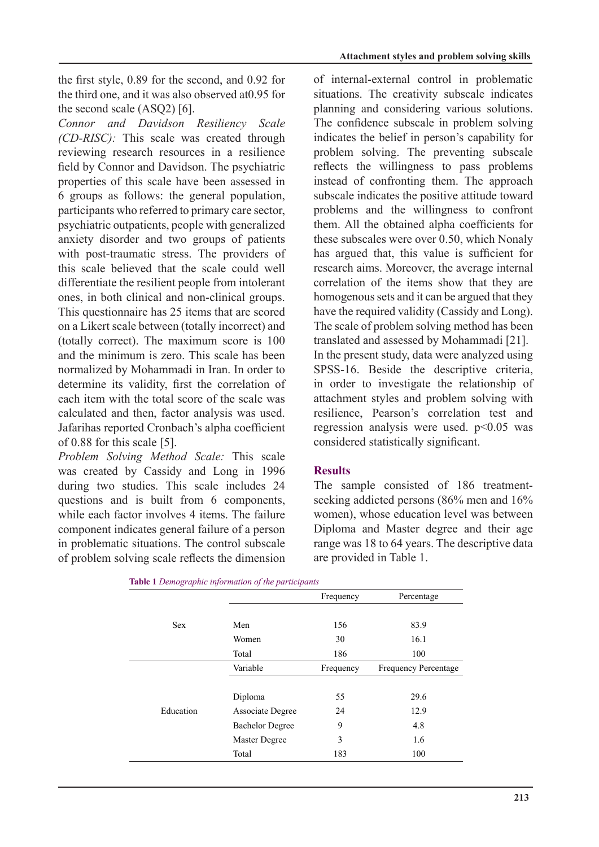the first style,  $0.89$  for the second, and  $0.92$  for the third one, and it was also observed at 0.95 for the second scale  $(ASQ2)$  [6].

*Connor and Davidson Resiliency Scale* (CD-RISC): This scale was created through reviewing research resources in a resilience field by Connor and Davidson. The psychiatric properties of this scale have been assessed in  $6$  groups as follows: the general population, participants who referred to primary care sector, psychiatric outpatients, people with generalized anxiety disorder and two groups of patients with post-traumatic stress. The providers of this scale believed that the scale could well differentiate the resilient people from intolerant ones, in both clinical and non-clinical groups. This questionnaire has 25 items that are scored on a Likert scale between (totally incorrect) and (totally correct). The maximum score is  $100$ and the minimum is zero. This scale has been normalized by Mohammadi in Iran In order to determine its validity, first the correlation of each item with the total score of the scale was calculated and then, factor analysis was used. Jafarihas reported Cronbach's alpha coefficient of 0.88 for this scale  $[5]$ .

Problem Solving Method Scale: This scale was created by Cassidy and Long in 1996 during two studies. This scale includes 24 questions and is built from  $6$  components, while each factor involves 4 items. The failure component indicates general failure of a person in problematic situations. The control subscale of problem solving scale reflects the dimension of internal-external control in problematic situations. The creativity subscale indicates planning and considering various solutions. The confidence subscale in problem solving indicates the belief in person's capability for problem solving. The preventing subscale reflects the willingness to pass problems instead of confronting them. The approach subscale indicates the positive attitude toward problems and the willingness to confront them. All the obtained alpha coefficients for these subscales were over  $0.50$ , which Nonaly has argued that, this value is sufficient for research aims. Moreover, the average internal correlation of the items show that they are homogenous sets and it can be argued that they have the required validity (Cassidy and Long). The scale of problem solving method has been translated and assessed by Mohammadi [21]. In the present study, data were analyzed using SPSS-16. Beside the descriptive criteria. in order to investigate the relationship of attachment styles and problem solving with resilience, Pearson's correlation test and regression analysis were used  $p<0.05$  was considered statistically significant.

## **Results**

seeking addicted persons (86% men and 16% The sample consisted of 186 treatmentwomen), whose education level was between Diploma and Master degree and their age range was 18 to 64 years. The descriptive data are provided in Table 1.

|            |                        | Frequency | Percentage                  |  |
|------------|------------------------|-----------|-----------------------------|--|
|            |                        |           |                             |  |
| <b>Sex</b> | Men                    | 156       |                             |  |
|            | Women                  | 30        | 16.1                        |  |
|            | Total                  | 186       | 100                         |  |
|            | Variable               | Frequency | <b>Frequency Percentage</b> |  |
|            |                        |           |                             |  |
|            | Diploma                | 55        | 29.6                        |  |
| Education  | Associate Degree       | 24        | 12.9                        |  |
|            | <b>Bachelor Degree</b> | 9         | 4.8                         |  |
|            | Master Degree          | 3         | 1.6                         |  |
|            | Total                  | 183       | 100                         |  |

*participants the of information Demographic* **1 Table**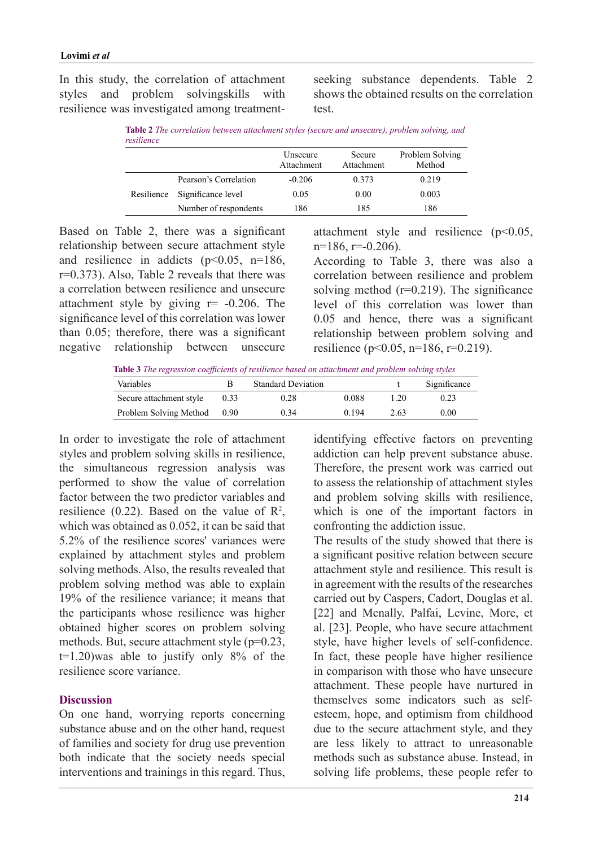In this study, the correlation of attachment styles and problem solvingskills with resilience was investigated among treatmentseeking substance dependents. Table 2 shows the obtained results on the correlation .test

*Table 2 The correlation between attachment styles (secure and unsecure), problem solving, and resilience*

|            |                       | Unsecure<br>Attachment | Secure<br>Attachment | Problem Solving<br>Method |
|------------|-----------------------|------------------------|----------------------|---------------------------|
| Resilience | Pearson's Correlation | $-0.206$               | 0.373                | 0.219                     |
|            | Significance level    | 0.05                   | 0.00                 | 0.003                     |
|            | Number of respondents | 186                    | 185                  | 186                       |

Based on Table 2, there was a significant relationship between secure attachment style and resilience in addicts  $(p<0.05, n=186,$  $r=0.373$ ). Also, Table 2 reveals that there was a correlation between resilience and unsecure attachment style by giving  $r = -0.206$ . The significance level of this correlation was lower than  $0.05$ ; therefore, there was a significant negative relationship between unsecure attachment style and resilience  $(p<0.05$ ,  $n=186$ ,  $r=.0.206$ ).

According to Table 3, there was also a correlation between resilience and problem solving method ( $r=0.219$ ). The significance level of this correlation was lower than  $0.05$  and hence, there was a significant relationship between problem solving and resilience ( $p<0.05$ ,  $n=186$ ,  $r=0.219$ ).

**Table 3** The regression coefficients of resilience based on attachment and problem solving styles

| Variables               |      | <b>Standard Deviation</b> |       |          | Significance |
|-------------------------|------|---------------------------|-------|----------|--------------|
| Secure attachment style | 0.33 | 0.28                      | 0.088 | $\pm 20$ | 0.23         |
| Problem Solving Method  | 0.90 | 0.34                      | 0.194 | 2.63     | 0.00         |

In order to investigate the role of attachment styles and problem solving skills in resilience. the simultaneous regression analysis was performed to show the value of correlation factor between the two predictor variables and resilience (0.22). Based on the value of  $\mathbb{R}^2$ , which was obtained as  $0.052$ , it can be said that  $5.2\%$  of the resilience scores' variances were explained by attachment styles and problem solving methods. Also, the results revealed that problem solving method was able to explain 19% of the resilience variance; it means that the participants whose resilience was higher obtained higher scores on problem solving methods. But, secure attachment style  $(p=0.23)$ ,  $t=1.20$ ) was able to justify only 8% of the resilience score variance

### **Discussion**

On one hand, worrying reports concerning substance abuse and on the other hand, request of families and society for drug use prevention both indicate that the society needs special interventions and trainings in this regard. Thus, identifying effective factors on preventing addiction can help prevent substance abuse. Therefore, the present work was carried out to assess the relationship of attachment styles and problem solving skills with resilience, which is one of the important factors in confronting the addiction issue.

The results of the study showed that there is a significant positive relation between secure attachment style and resilience. This result is in agreement with the results of the researches carried out by Caspers, Cadort, Douglas et al. [22] and Mcnally, Palfai, Levine, More, et al. [23]. People, who have secure attachment style, have higher levels of self-confidence. In fact, these people have higher resilience in comparison with those who have unsecure attachment. These people have nurtured in esteem, hope, and optimism from childhood themselves some indicators such as selfdue to the secure attachment style, and they are less likely to attract to unreasonable methods such as substance abuse. Instead, in solving life problems, these people refer to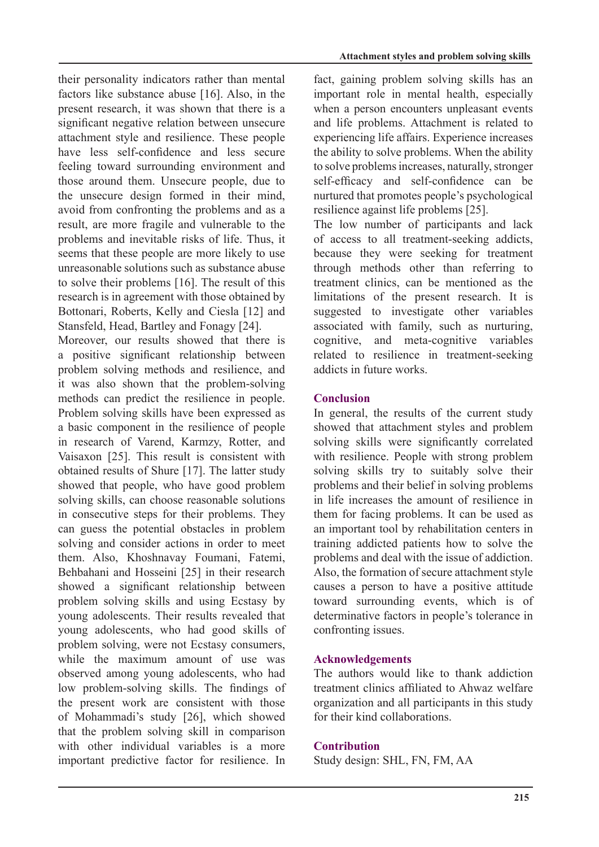their personality indicators rather than mental factors like substance abuse  $[16]$ . Also, in the present research, it was shown that there is a significant negative relation between unsecure attachment style and resilience. These people have less self-confidence and less secure feeling toward surrounding environment and those around them. Unsecure people, due to the unsecure design formed in their mind, avoid from confronting the problems and as a result, are more fragile and vulnerable to the problems and inevitable risks of life. Thus, it seems that these people are more likely to use unreasonable solutions such as substance abuse to solve their problems  $[16]$ . The result of this research is in agreement with those obtained by Bottonari, Roberts, Kelly and Ciesla [12] and Stansfeld, Head, Bartley and Fonagy [24].

Moreover, our results showed that there is a positive significant relationship between problem solving methods and resilience, and it was also shown that the problem-solving methods can predict the resilience in people. Problem solving skills have been expressed as a basic component in the resilience of people in research of Varend, Karmzy, Rotter, and Vaisaxon [25]. This result is consistent with obtained results of Shure [17]. The latter study showed that people, who have good problem solving skills, can choose reasonable solutions in consecutive steps for their problems. They can guess the potential obstacles in problem solving and consider actions in order to meet them. Also, Khoshnavay Foumani, Fatemi, Behbahani and Hosseini [25] in their research showed a significant relationship between problem solving skills and using Ecstasy by young adolescents. Their results revealed that young adolescents, who had good skills of problem solving, were not Ecstasy consumers. while the maximum amount of use was observed among young adolescents, who had low problem-solving skills. The findings of the present work are consistent with those of Mohammadi's study [26], which showed that the problem solving skill in comparison with other individual variables is a more important predictive factor for resilience. In fact, gaining problem solving skills has an important role in mental health, especially when a person encounters unpleasant events and life problems. Attachment is related to experiencing life affairs. Experience increases the ability to solve problems. When the ability to solve problems increases, naturally, stronger self-efficacy and self-confidence can be nurtured that promotes people's psychological resilience against life problems [25].

The low number of participants and lack of access to all treatment-seeking addicts, because they were seeking for treatment through methods other than referring to treatment clinics, can be mentioned as the limitations of the present research. It is suggested to investigate other variables associated with family, such as nurturing, cognitive, and meta-cognitive variables related to resilience in treatment-seeking addicts in future works.

# **Conclusion**

In general, the results of the current study showed that attachment styles and problem solving skills were significantly correlated with resilience. People with strong problem solving skills try to suitably solve their problems and their belief in solving problems in life increases the amount of resilience in them for facing problems. It can be used as an important tool by rehabilitation centers in training addicted patients how to solve the problems and deal with the issue of addiction. Also, the formation of secure attachment style causes a person to have a positive attitude toward surrounding events, which is of determinative factors in people's tolerance in confronting issues.

## **Acknowledgements**

The authors would like to thank addiction treatment clinics affiliated to Ahwaz welfare organization and all participants in this study for their kind collaborations

## **Contribution**

Study design: SHL, FN, FM, AA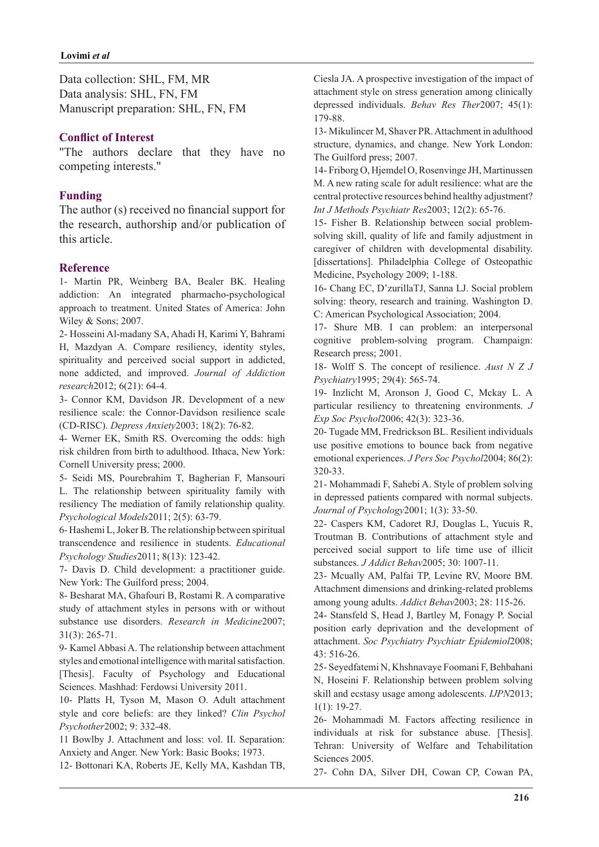Data collection: SHL, FM, MR Data analysis: SHL, FN, FM Manuscript preparation: SHL, FN, FM

### **Conflict of Interest**

"The authors declare that they have no competing interests."

### **Funding**

The author  $(s)$  received no financial support for the research, authorship and/or publication of this article.

### **Reference**

1- Martin PR, Weinberg BA, Bealer BK. Healing addiction: An integrated pharmacho-psychological approach to treatment. United States of America: John Wiley  $&$  Sons; 2007.

2- Hosseini Al-madany SA, Ahadi H, Karimi Y, Bahrami H, Mazdyan A. Compare resiliency, identity styles, spirituality and perceived social support in addicted, none addicted, and improved. Journal of Addiction research2012; 6(21): 64-4.

3- Connor KM, Davidson JR. Development of a new resilience scale: the Connor-Davidson resilience scale (CD-RISC). *Depress Anxiety* 2003; 18(2): 76-82.

4- Werner EK, Smith RS. Overcoming the odds: high risk children from birth to adulthood. Ithaca. New York: Cornell University press; 2000.

5- Seidi MS, Pourebrahim T, Bagherian F, Mansouri L. The relationship between spirituality family with resiliency The mediation of family relationship quality. Psychological Models 2011; 2(5): 63-79.

6-Hashemi L, Joker B. The relationship between spiritual transcendence and resilience in students. Educational Psychology Studies 2011; 8(13): 123-42.

7- Davis D. Child development: a practitioner guide. New York: The Guilford press; 2004.

8- Besharat MA, Ghafouri B, Rostami R. A comparative study of attachment styles in persons with or without substance use disorders. Research in Medicine2007;  $31(3): 265-71.$ 

9- Kamel Abbasi A. The relationship between attachment styles and emotional intelligence with marital satisfaction. [Thesis]. Faculty of Psychology and Educational Sciences. Mashhad: Ferdowsi University 2011.

10- Platts H, Tyson M, Mason O. Adult attachment style and core beliefs: are they linked? Clin Psychol Psychother<sub>2002</sub>; 9: 332-48.

11 Bowlby J. Attachment and loss: vol. II. Separation: Anxiety and Anger. New York: Basic Books; 1973.

12- Bottonari KA, Roberts JE, Kelly MA, Kashdan TB,

Ciesla JA. A prospective investigation of the impact of attachment style on stress generation among clinically depressed individuals. Behav Res Ther 2007; 45(1): 179-88.

13- Mikulincer M. Shaver PR. Attachment in adulthood structure, dynamics, and change. New York London: The Guilford press; 2007.

14- Friborg O, Hjemdel O, Rosenvinge JH, Martinussen M. A new rating scale for adult resilience: what are the central protective resources behind healthy adjustment? Int J Methods Psychiatr Res2003; 12(2): 65-76.

solving skill, quality of life and family adjustment in 15- Fisher B. Relationship between social problemcaregiver of children with developmental disability. [dissertations]. Philadelphia College of Osteopathic Medicine, Psychology 2009; 1-188.

16- Chang EC, D'zurillaTJ, Sanna LJ. Social problem solving: theory, research and training. Washington D. C: American Psychological Association; 2004.

17- Shure MB. I can problem: an interpersonal cognitive problem-solving program. Champaign: Research press; 2001.

18- Wolff S. The concept of resilience. *Aust* N Z J Psychiatry<sup>1995</sup>; 29(4): 565-74.

19- Inzlicht M, Aronson J, Good C, Mckay L. A particular resiliency to threatening environments. J Exp Soc Psychol 2006; 42(3): 323-36.

20- Tugade MM, Fredrickson BL. Resilient individuals use positive emotions to bounce back from negative emotional experiences. *J Pers Soc Psychol* 2004; 86(2): 320-33.

21- Mohammadi F, Sahebi A. Style of problem solving in depressed patients compared with normal subjects. Journal of Psychology 2001; 1(3): 33-50.

22- Caspers KM, Cadoret RJ, Douglas L, Yucuis R, Troutman B. Contributions of attachment style and perceived social support to life time use of illicit substances. *J Addict Behav* 2005; 30: 1007-11.

23- Mcually AM, Palfai TP, Levine RV, Moore BM. Attachment dimensions and drinking-related problems among young adults. Addict Behav2003; 28: 115-26.

24- Stansfeld S, Head J, Bartley M, Fonagy P. Social position early deprivation and the development of attachment. Soc Psychiatry Psychiatr Epidemiol2008; 516-26. 43:

25- Sevedfatemi N, Khshnavaye Foomani F, Behbahani N, Hoseini F. Relationship between problem solving skill and ecstasy usage among adolescents. **IJPN2013**;  $1(1): 19-27.$ 

26- Mohammadi M. Factors affecting resilience in individuals at risk for substance abuse. [Thesis]. Tehran: University of Welfare and Tehabilitation Sciences 2005.

27- Cohn DA, Silver DH, Cowan CP, Cowan PA,